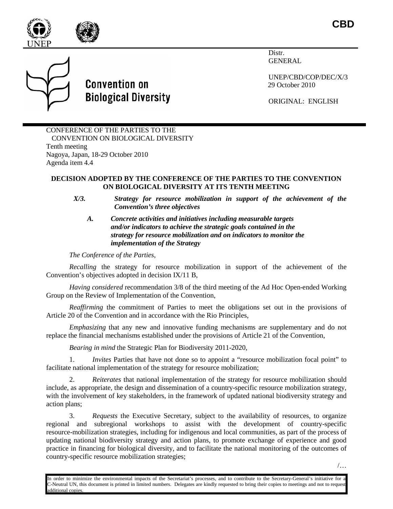

**CBD**



**Convention on Biological Diversity**  Distr. GENERAL

UNEP/CBD/COP/DEC/X/3 29 October 2010

ORIGINAL: ENGLISH

CONFERENCE OF THE PARTIES TO THE CONVENTION ON BIOLOGICAL DIVERSITY Tenth meeting Nagoya, Japan, 18-29 October 2010 Agenda item 4.4

## **DECISION ADOPTED BY THE CONFERENCE OF THE PARTIES TO THE CONVENTION ON BIOLOGICAL DIVERSITY AT ITS TENTH MEETING**

- *X/3. Strategy for resource mobilization in support of the achievement of the Convention's three objectives*
	- *A. Concrete activities and initiatives including measurable targets and/or indicators to achieve the strategic goals contained in the strategy for resource mobilization and on indicators to monitor the implementation of the Strategy*

*The Conference of the Parties*,

*Recalling* the strategy for resource mobilization in support of the achievement of the Convention's objectives adopted in decision IX/11 B,

*Having considered* recommendation 3/8 of the third meeting of the Ad Hoc Open-ended Working Group on the Review of Implementation of the Convention,

*Reaffirming* the commitment of Parties to meet the obligations set out in the provisions of Article 20 of the Convention and in accordance with the Rio Principles,

*Emphasizing* that any new and innovative funding mechanisms are supplementary and do not replace the financial mechanisms established under the provisions of Article 21 of the Convention,

*Bearing in mind* the Strategic Plan for Biodiversity 2011-2020,

1. *Invites* Parties that have not done so to appoint a "resource mobilization focal point" to facilitate national implementation of the strategy for resource mobilization;

2. *Reiterates* that national implementation of the strategy for resource mobilization should include, as appropriate, the design and dissemination of a country-specific resource mobilization strategy, with the involvement of key stakeholders, in the framework of updated national biodiversity strategy and action plans;

3. *Requests* the Executive Secretary, subject to the availability of resources, to organize regional and subregional workshops to assist with the development of country-specific resource-mobilization strategies, including for indigenous and local communities, as part of the process of updating national biodiversity strategy and action plans, to promote exchange of experience and good practice in financing for biological diversity, and to facilitate the national monitoring of the outcomes of country-specific resource mobilization strategies;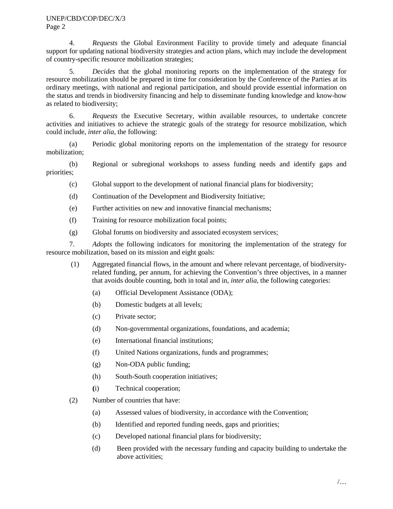4. *Requests* the Global Environment Facility to provide timely and adequate financial support for updating national biodiversity strategies and action plans, which may include the development of country-specific resource mobilization strategies;

5. *Decides* that the global monitoring reports on the implementation of the strategy for resource mobilization should be prepared in time for consideration by the Conference of the Parties at its ordinary meetings, with national and regional participation, and should provide essential information on the status and trends in biodiversity financing and help to disseminate funding knowledge and know-how as related to biodiversity;

6. *Requests* the Executive Secretary, within available resources, to undertake concrete activities and initiatives to achieve the strategic goals of the strategy for resource mobilization*,* which could include, *inter alia*, the following:

(a) Periodic global monitoring reports on the implementation of the strategy for resource mobilization;

(b) Regional or subregional workshops to assess funding needs and identify gaps and priorities;

- (c) Global support to the development of national financial plans for biodiversity;
- (d) Continuation of the Development and Biodiversity Initiative;
- (e) Further activities on new and innovative financial mechanisms;
- (f) Training for resource mobilization focal points;
- (g) Global forums on biodiversity and associated ecosystem services;

7. *Adopts* the following indicators for monitoring the implementation of the strategy for resource mobilization, based on its mission and eight goals:

- (1) Aggregated financial flows, in the amount and where relevant percentage, of biodiversityrelated funding, per annum, for achieving the Convention's three objectives, in a manner that avoids double counting, both in total and in, *inter alia*, the following categories:
	- (a) Official Development Assistance (ODA);
	- (b) Domestic budgets at all levels;
	- (c) Private sector;
	- (d) Non-governmental organizations, foundations, and academia;
	- (e) International financial institutions;
	- (f) United Nations organizations, funds and programmes;
	- (g) Non-ODA public funding;
	- (h) South-South cooperation initiatives;
	- **(**i) Technical cooperation;
- (2) Number of countries that have:
	- (a) Assessed values of biodiversity, in accordance with the Convention;
	- (b) Identified and reported funding needs, gaps and priorities;
	- (c) Developed national financial plans for biodiversity;
	- (d) Been provided with the necessary funding and capacity building to undertake the above activities;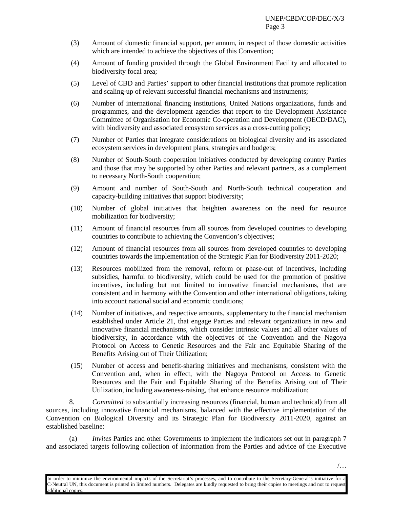- (3) Amount of domestic financial support, per annum, in respect of those domestic activities which are intended to achieve the objectives of this Convention;
- (4) Amount of funding provided through the Global Environment Facility and allocated to biodiversity focal area;
- (5) Level of CBD and Parties' support to other financial institutions that promote replication and scaling-up of relevant successful financial mechanisms and instruments;
- (6) Number of international financing institutions, United Nations organizations, funds and programmes, and the development agencies that report to the Development Assistance Committee of Organisation for Economic Co-operation and Development (OECD/DAC), with biodiversity and associated ecosystem services as a cross-cutting policy;
- (7) Number of Parties that integrate considerations on biological diversity and its associated ecosystem services in development plans, strategies and budgets;
- (8) Number of South-South cooperation initiatives conducted by developing country Parties and those that may be supported by other Parties and relevant partners, as a complement to necessary North-South cooperation;
- (9) Amount and number of South-South and North-South technical cooperation and capacity-building initiatives that support biodiversity;
- (10) Number of global initiatives that heighten awareness on the need for resource mobilization for biodiversity;
- (11) Amount of financial resources from all sources from developed countries to developing countries to contribute to achieving the Convention's objectives;
- (12) Amount of financial resources from all sources from developed countries to developing countries towards the implementation of the Strategic Plan for Biodiversity 2011-2020;
- (13) Resources mobilized from the removal, reform or phase-out of incentives, including subsidies, harmful to biodiversity, which could be used for the promotion of positive incentives, including but not limited to innovative financial mechanisms, that are consistent and in harmony with the Convention and other international obligations, taking into account national social and economic conditions;
- (14) Number of initiatives, and respective amounts, supplementary to the financial mechanism established under Article 21, that engage Parties and relevant organizations in new and innovative financial mechanisms, which consider intrinsic values and all other values of biodiversity, in accordance with the objectives of the Convention and the Nagoya Protocol on Access to Genetic Resources and the Fair and Equitable Sharing of the Benefits Arising out of Their Utilization;
- (15) Number of access and benefit-sharing initiatives and mechanisms, consistent with the Convention and, when in effect, with the Nagoya Protocol on Access to Genetic Resources and the Fair and Equitable Sharing of the Benefits Arising out of Their Utilization, including awareness-raising, that enhance resource mobilization;

8. *Committed* to substantially increasing resources (financial, human and technical) from all sources, including innovative financial mechanisms, balanced with the effective implementation of the Convention on Biological Diversity and its Strategic Plan for Biodiversity 2011-2020, against an established baseline:

(a) *Invites* Parties and other Governments to implement the indicators set out in paragraph 7 and associated targets following collection of information from the Parties and advice of the Executive

In order to minimize the environmental impacts of the Secretariat's processes, and to contribute to the Secretary-General's initiative for a C-Neutral UN, this document is printed in limited numbers. Delegates are kindly requested to bring their copies to meetings and not to request dditional copies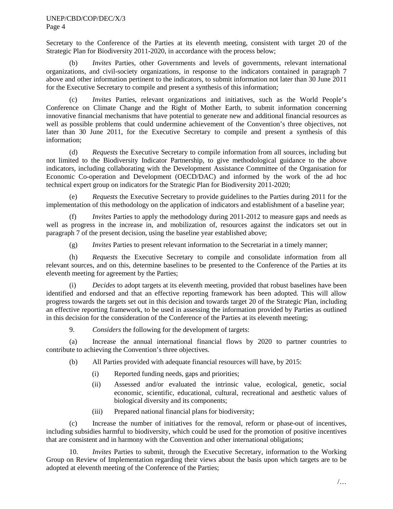## UNEP/CBD/COP/DEC/X/3 Page 4

Secretary to the Conference of the Parties at its eleventh meeting, consistent with target 20 of the Strategic Plan for Biodiversity 2011-2020, in accordance with the process below;

(b) *Invites* Parties, other Governments and levels of governments, relevant international organizations, and civil-society organizations, in response to the indicators contained in paragraph 7 above and other information pertinent to the indicators, to submit information not later than 30 June 2011 for the Executive Secretary to compile and present a synthesis of this information;

(c) *Invites* Parties, relevant organizations and initiatives, such as the World People's Conference on Climate Change and the Right of Mother Earth, to submit information concerning innovative financial mechanisms that have potential to generate new and additional financial resources as well as possible problems that could undermine achievement of the Convention's three objectives, not later than 30 June 2011, for the Executive Secretary to compile and present a synthesis of this information;

(d) *Requests* the Executive Secretary to compile information from all sources, including but not limited to the Biodiversity Indicator Partnership, to give methodological guidance to the above indicators, including collaborating with the Development Assistance Committee of the Organisation for Economic Co-operation and Development (OECD/DAC) and informed by the work of the ad hoc technical expert group on indicators for the Strategic Plan for Biodiversity 2011-2020;

(e) *Requests* the Executive Secretary to provide guidelines to the Parties during 2011 for the implementation of this methodology on the application of indicators and establishment of a baseline year;

(f) *Invites* Parties to apply the methodology during 2011-2012 to measure gaps and needs as well as progress in the increase in, and mobilization of, resources against the indicators set out in paragraph 7 of the present decision, using the baseline year established above;

(g) *Invites* Parties to present relevant information to the Secretariat in a timely manner;

(h) *Requests* the Executive Secretary to compile and consolidate information from all relevant sources, and on this, determine baselines to be presented to the Conference of the Parties at its eleventh meeting for agreement by the Parties;

(i) *Decides* to adopt targets at its eleventh meeting, provided that robust baselines have been identified and endorsed and that an effective reporting framework has been adopted. This will allow progress towards the targets set out in this decision and towards target 20 of the Strategic Plan, including an effective reporting framework, to be used in assessing the information provided by Parties as outlined in this decision for the consideration of the Conference of the Parties at its eleventh meeting;

9. *Considers* the following for the development of targets:

(a) Increase the annual international financial flows by 2020 to partner countries to contribute to achieving the Convention's three objectives.

(b) All Parties provided with adequate financial resources will have, by 2015:

- (i) Reported funding needs, gaps and priorities;
- (ii) Assessed and/or evaluated the intrinsic value, ecological, genetic, social economic, scientific, educational, cultural, recreational and aesthetic values of biological diversity and its components;
- (iii) Prepared national financial plans for biodiversity;

(c) Increase the number of initiatives for the removal, reform or phase-out of incentives, including subsidies harmful to biodiversity, which could be used for the promotion of positive incentives that are consistent and in harmony with the Convention and other international obligations;

10. *Invites* Parties to submit, through the Executive Secretary, information to the Working Group on Review of Implementation regarding their views about the basis upon which targets are to be adopted at eleventh meeting of the Conference of the Parties;